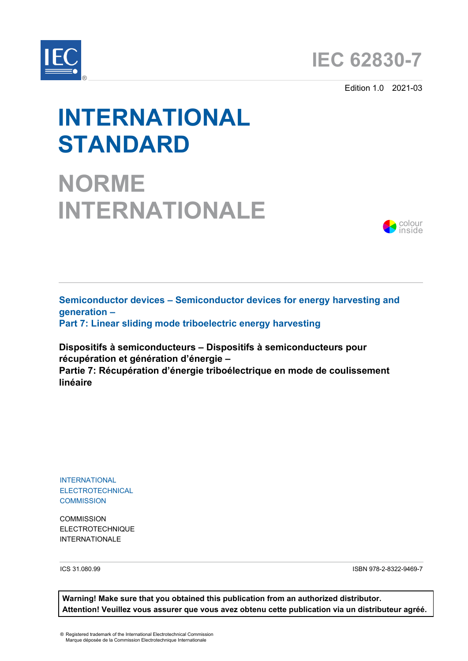

Edition 1.0 2021-03

# **INTERNATIONAL STANDARD**

# **NORME INTERNATIONALE**



**Semiconductor devices – Semiconductor devices for energy harvesting and generation – Part 7: Linear sliding mode triboelectric energy harvesting** 

**Dispositifs à semiconducteurs – Dispositifs à semiconducteurs pour récupération et génération d'énergie –** 

**Partie 7: Récupération d'énergie triboélectrique en mode de coulissement linéaire** 

INTERNATIONAL ELECTROTECHNICAL **COMMISSION** 

**COMMISSION** ELECTROTECHNIQUE INTERNATIONALE

ICS 31.080.99 ISBN 978-2-8322-9469-7

**Warning! Make sure that you obtained this publication from an authorized distributor. Attention! Veuillez vous assurer que vous avez obtenu cette publication via un distributeur agréé.**

® Registered trademark of the International Electrotechnical Commission Marque déposée de la Commission Electrotechnique Internationale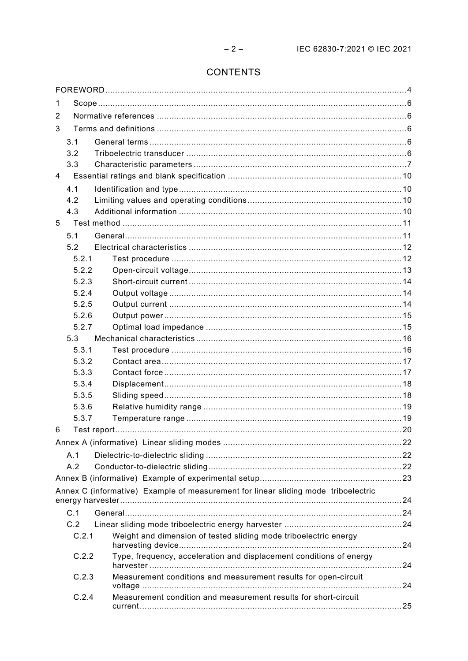# CONTENTS

| 1              |       |                                                                                    |  |
|----------------|-------|------------------------------------------------------------------------------------|--|
| 2              |       |                                                                                    |  |
| 3              |       |                                                                                    |  |
|                | 3.1   |                                                                                    |  |
|                | 3.2   |                                                                                    |  |
|                | 3.3   |                                                                                    |  |
| $\overline{4}$ |       |                                                                                    |  |
|                | 4.1   |                                                                                    |  |
|                | 4.2   |                                                                                    |  |
|                | 4.3   |                                                                                    |  |
| 5              |       |                                                                                    |  |
|                | 5.1   |                                                                                    |  |
|                | 5.2   |                                                                                    |  |
|                | 5.2.1 |                                                                                    |  |
|                | 5.2.2 |                                                                                    |  |
|                | 5.2.3 |                                                                                    |  |
|                | 5.2.4 |                                                                                    |  |
|                | 5.2.5 |                                                                                    |  |
|                | 5.2.6 |                                                                                    |  |
|                | 5.2.7 |                                                                                    |  |
|                | 5.3   |                                                                                    |  |
|                | 5.3.1 |                                                                                    |  |
|                | 5.3.2 |                                                                                    |  |
|                | 5.3.3 |                                                                                    |  |
|                | 5.3.4 |                                                                                    |  |
|                | 5.3.5 |                                                                                    |  |
|                | 5.3.6 |                                                                                    |  |
|                | 5.3.7 |                                                                                    |  |
| 6              |       |                                                                                    |  |
|                |       |                                                                                    |  |
|                | A.1   |                                                                                    |  |
|                | A.2   |                                                                                    |  |
|                |       |                                                                                    |  |
|                |       | Annex C (informative) Example of measurement for linear sliding mode triboelectric |  |
|                |       |                                                                                    |  |
|                | C.1   |                                                                                    |  |
|                | C.2   |                                                                                    |  |
|                | C.2.1 | Weight and dimension of tested sliding mode triboelectric energy                   |  |
|                | C.2.2 | Type, frequency, acceleration and displacement conditions of energy                |  |
|                | C.2.3 | Measurement conditions and measurement results for open-circuit                    |  |
|                | C.2.4 | Measurement condition and measurement results for short-circuit                    |  |
|                |       |                                                                                    |  |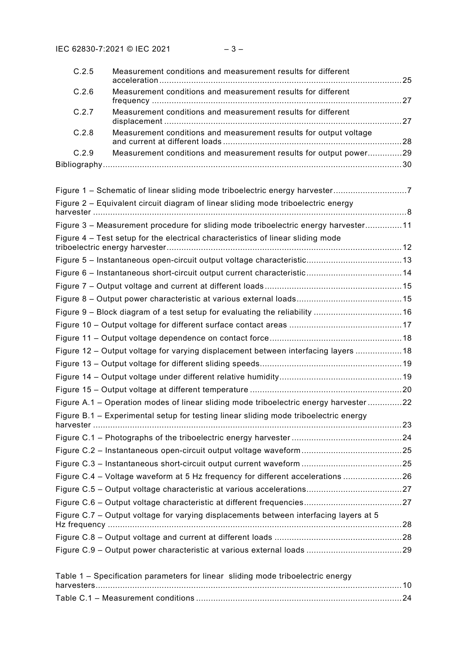| C.2.5 | Measurement conditions and measurement results for different                          |  |
|-------|---------------------------------------------------------------------------------------|--|
| C.2.6 | Measurement conditions and measurement results for different                          |  |
|       |                                                                                       |  |
| C.2.7 | Measurement conditions and measurement results for different                          |  |
| C.2.8 | Measurement conditions and measurement results for output voltage                     |  |
| C.2.9 | Measurement conditions and measurement results for output power29                     |  |
|       |                                                                                       |  |
|       |                                                                                       |  |
|       | Figure 1 - Schematic of linear sliding mode triboelectric energy harvester7           |  |
|       | Figure 2 – Equivalent circuit diagram of linear sliding mode triboelectric energy     |  |
|       | Figure 3 - Measurement procedure for sliding mode triboelectric energy harvester 11   |  |
|       | Figure 4 – Test setup for the electrical characteristics of linear sliding mode       |  |
|       |                                                                                       |  |
|       |                                                                                       |  |
|       |                                                                                       |  |
|       |                                                                                       |  |
|       |                                                                                       |  |
|       | Figure 9 - Block diagram of a test setup for evaluating the reliability  16           |  |
|       |                                                                                       |  |
|       |                                                                                       |  |
|       | Figure 12 - Output voltage for varying displacement between interfacing layers  18    |  |
|       |                                                                                       |  |
|       |                                                                                       |  |
|       |                                                                                       |  |
|       | Figure A.1 - Operation modes of linear sliding mode triboelectric energy harvester 22 |  |
|       | Figure B.1 - Experimental setup for testing linear sliding mode triboelectric energy  |  |
|       |                                                                                       |  |
|       |                                                                                       |  |
|       |                                                                                       |  |
|       | Figure C.4 - Voltage waveform at 5 Hz frequency for different accelerations 26        |  |
|       |                                                                                       |  |
|       |                                                                                       |  |
|       | Figure C.7 - Output voltage for varying displacements between interfacing layers at 5 |  |
|       |                                                                                       |  |
|       |                                                                                       |  |
|       |                                                                                       |  |

| Table 1 – Specification parameters for linear sliding mode triboelectric energy |  |
|---------------------------------------------------------------------------------|--|
|                                                                                 |  |
|                                                                                 |  |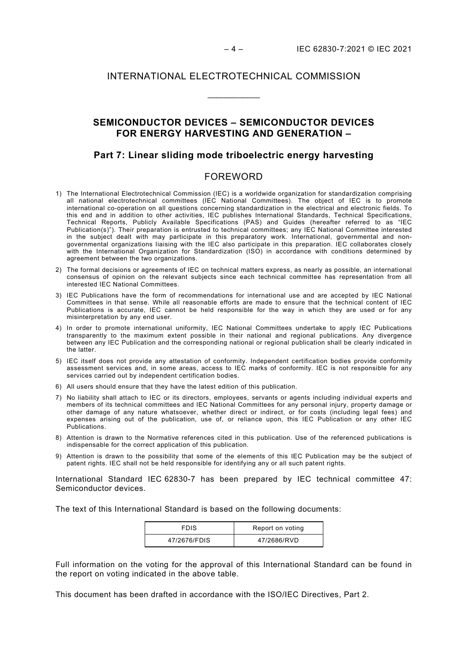#### INTERNATIONAL ELECTROTECHNICAL COMMISSION

\_\_\_\_\_\_\_\_\_\_\_\_

#### **SEMICONDUCTOR DEVICES – SEMICONDUCTOR DEVICES FOR ENERGY HARVESTING AND GENERATION –**

#### **Part 7: Linear sliding mode triboelectric energy harvesting**

#### FOREWORD

- <span id="page-3-0"></span>1) The International Electrotechnical Commission (IEC) is a worldwide organization for standardization comprising all national electrotechnical committees (IEC National Committees). The object of IEC is to promote international co-operation on all questions concerning standardization in the electrical and electronic fields. To this end and in addition to other activities, IEC publishes International Standards, Technical Specifications, Technical Reports, Publicly Available Specifications (PAS) and Guides (hereafter referred to as "IEC Publication(s)"). Their preparation is entrusted to technical committees; any IEC National Committee interested in the subject dealt with may participate in this preparatory work. International, governmental and nongovernmental organizations liaising with the IEC also participate in this preparation. IEC collaborates closely with the International Organization for Standardization (ISO) in accordance with conditions determined by agreement between the two organizations.
- 2) The formal decisions or agreements of IEC on technical matters express, as nearly as possible, an international consensus of opinion on the relevant subjects since each technical committee has representation from all interested IEC National Committees.
- 3) IEC Publications have the form of recommendations for international use and are accepted by IEC National Committees in that sense. While all reasonable efforts are made to ensure that the technical content of IEC Publications is accurate, IEC cannot be held responsible for the way in which they are used or for any misinterpretation by any end user.
- 4) In order to promote international uniformity, IEC National Committees undertake to apply IEC Publications transparently to the maximum extent possible in their national and regional publications. Any divergence between any IEC Publication and the corresponding national or regional publication shall be clearly indicated in the latter.
- 5) IEC itself does not provide any attestation of conformity. Independent certification bodies provide conformity assessment services and, in some areas, access to IEC marks of conformity. IEC is not responsible for any services carried out by independent certification bodies.
- 6) All users should ensure that they have the latest edition of this publication.
- 7) No liability shall attach to IEC or its directors, employees, servants or agents including individual experts and members of its technical committees and IEC National Committees for any personal injury, property damage or other damage of any nature whatsoever, whether direct or indirect, or for costs (including legal fees) and expenses arising out of the publication, use of, or reliance upon, this IEC Publication or any other IEC Publications.
- 8) Attention is drawn to the Normative references cited in this publication. Use of the referenced publications is indispensable for the correct application of this publication.
- 9) Attention is drawn to the possibility that some of the elements of this IEC Publication may be the subject of patent rights. IEC shall not be held responsible for identifying any or all such patent rights.

International Standard IEC 62830-7 has been prepared by IEC technical committee 47: Semiconductor devices.

The text of this International Standard is based on the following documents:

| <b>FDIS</b>  | Report on voting |
|--------------|------------------|
| 47/2676/FDIS | 47/2686/RVD      |

Full information on the voting for the approval of this International Standard can be found in the report on voting indicated in the above table.

This document has been drafted in accordance with the ISO/IEC Directives, Part 2.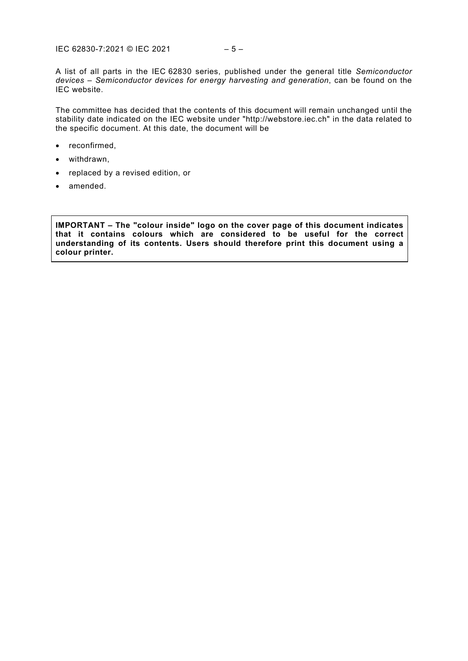A list of all parts in the IEC 62830 series, published under the general title *Semiconductor devices – Semiconductor devices for energy harvesting and generation*, can be found on the IEC website.

The committee has decided that the contents of this document will remain unchanged until the stability date indicated on the IEC website under "http://webstore.iec.ch" in the data related to the specific document. At this date, the document will be

- reconfirmed,
- withdrawn,
- replaced by a revised edition, or
- amended.

**IMPORTANT – The "colour inside" logo on the cover page of this document indicates that it contains colours which are considered to be useful for the correct understanding of its contents. Users should therefore print this document using a colour printer.**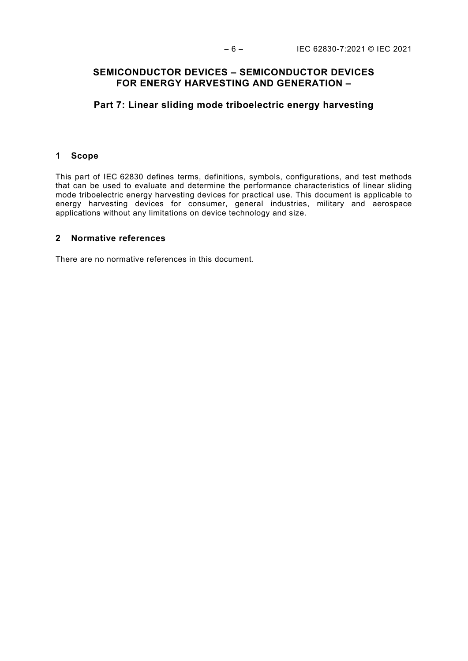## **SEMICONDUCTOR DEVICES – SEMICONDUCTOR DEVICES FOR ENERGY HARVESTING AND GENERATION –**

# **Part 7: Linear sliding mode triboelectric energy harvesting**

## <span id="page-5-0"></span>**1 Scope**

This part of IEC 62830 defines terms, definitions, symbols, configurations, and test methods that can be used to evaluate and determine the performance characteristics of linear sliding mode triboelectric energy harvesting devices for practical use. This document is applicable to energy harvesting devices for consumer, general industries, military and aerospace applications without any limitations on device technology and size.

#### <span id="page-5-1"></span>**2 Normative references**

<span id="page-5-4"></span><span id="page-5-3"></span><span id="page-5-2"></span>There are no normative references in this document.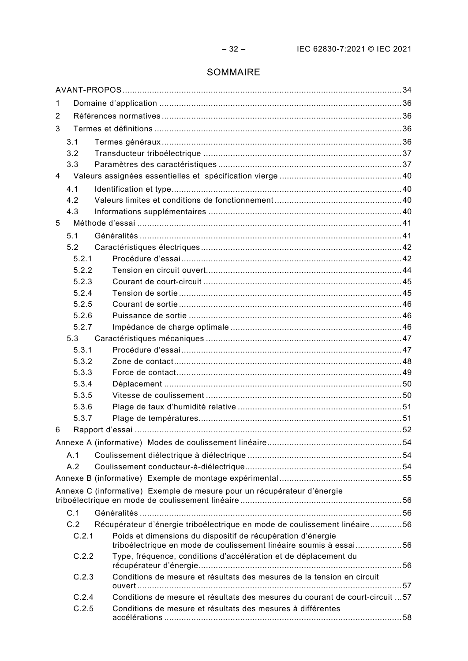# SOMMAIRE

| 1              |       |                                                                                                                                  |  |
|----------------|-------|----------------------------------------------------------------------------------------------------------------------------------|--|
| 2              |       |                                                                                                                                  |  |
| 3              |       |                                                                                                                                  |  |
|                | 3.1   |                                                                                                                                  |  |
|                | 3.2   |                                                                                                                                  |  |
|                | 3.3   |                                                                                                                                  |  |
| $\overline{4}$ |       |                                                                                                                                  |  |
|                | 4.1   |                                                                                                                                  |  |
|                | 4.2   |                                                                                                                                  |  |
|                | 4.3   |                                                                                                                                  |  |
| 5              |       |                                                                                                                                  |  |
|                | 5.1   |                                                                                                                                  |  |
|                | 5.2   |                                                                                                                                  |  |
|                | 5.2.1 |                                                                                                                                  |  |
|                | 5.2.2 |                                                                                                                                  |  |
|                | 5.2.3 |                                                                                                                                  |  |
|                | 5.2.4 |                                                                                                                                  |  |
|                | 5.2.5 |                                                                                                                                  |  |
|                | 5.2.6 |                                                                                                                                  |  |
|                | 5.2.7 |                                                                                                                                  |  |
|                | 5.3   |                                                                                                                                  |  |
|                | 5.3.1 |                                                                                                                                  |  |
|                | 5.3.2 |                                                                                                                                  |  |
|                | 5.3.3 |                                                                                                                                  |  |
|                | 5.3.4 |                                                                                                                                  |  |
|                | 5.3.5 |                                                                                                                                  |  |
|                | 5.3.6 |                                                                                                                                  |  |
|                | 5.3.7 |                                                                                                                                  |  |
| 6              |       |                                                                                                                                  |  |
|                |       |                                                                                                                                  |  |
|                | A.1   |                                                                                                                                  |  |
|                | A.2   |                                                                                                                                  |  |
|                |       |                                                                                                                                  |  |
|                |       | Annexe C (informative) Exemple de mesure pour un récupérateur d'énergie                                                          |  |
|                |       |                                                                                                                                  |  |
|                | C.1   |                                                                                                                                  |  |
|                | C.2   | Récupérateur d'énergie triboélectrique en mode de coulissement linéaire56                                                        |  |
|                | C.2.1 | Poids et dimensions du dispositif de récupération d'énergie<br>triboélectrique en mode de coulissement linéaire soumis à essai56 |  |
|                | C.2.2 | Type, fréquence, conditions d'accélération et de déplacement du                                                                  |  |
|                | C.2.3 | Conditions de mesure et résultats des mesures de la tension en circuit                                                           |  |
|                | C.2.4 | Conditions de mesure et résultats des mesures du courant de court-circuit  57                                                    |  |
|                | C.2.5 | Conditions de mesure et résultats des mesures à différentes                                                                      |  |
|                |       |                                                                                                                                  |  |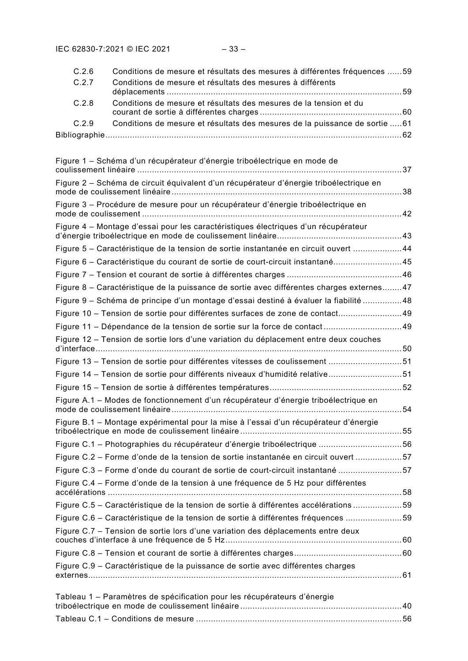| C.2.6 | Conditions de mesure et résultats des mesures à différentes fréquences 59                |  |
|-------|------------------------------------------------------------------------------------------|--|
| C.2.7 | Conditions de mesure et résultats des mesures à différents                               |  |
| C.2.8 | Conditions de mesure et résultats des mesures de la tension et du                        |  |
| C.2.9 | Conditions de mesure et résultats des mesures de la puissance de sortie 61               |  |
|       |                                                                                          |  |
|       |                                                                                          |  |
|       | Figure 1 – Schéma d'un récupérateur d'énergie triboélectrique en mode de                 |  |
|       | Figure 2 - Schéma de circuit équivalent d'un récupérateur d'énergie triboélectrique en   |  |
|       | Figure 3 - Procédure de mesure pour un récupérateur d'énergie triboélectrique en         |  |
|       | Figure 4 – Montage d'essai pour les caractéristiques électriques d'un récupérateur       |  |
|       | Figure 5 - Caractéristique de la tension de sortie instantanée en circuit ouvert 44      |  |
|       | Figure 6 – Caractéristique du courant de sortie de court-circuit instantané45            |  |
|       |                                                                                          |  |
|       | Figure 8 – Caractéristique de la puissance de sortie avec différentes charges externes47 |  |
|       | Figure 9 – Schéma de principe d'un montage d'essai destiné à évaluer la fiabilité 48     |  |
|       | Figure 10 - Tension de sortie pour différentes surfaces de zone de contact49             |  |
|       | Figure 11 - Dépendance de la tension de sortie sur la force de contact49                 |  |
|       | Figure 12 - Tension de sortie lors d'une variation du déplacement entre deux couches     |  |
|       | Figure 13 - Tension de sortie pour différentes vitesses de coulissement 51               |  |
|       | Figure 14 - Tension de sortie pour différents niveaux d'humidité relative51              |  |
|       |                                                                                          |  |
|       | Figure A.1 – Modes de fonctionnement d'un récupérateur d'énergie triboélectrique en      |  |
|       | Figure B.1 - Montage expérimental pour la mise à l'essai d'un récupérateur d'énergie     |  |
|       | Figure C.1 - Photographies du récupérateur d'énergie triboélectrique 56                  |  |
|       | Figure C.2 – Forme d'onde de la tension de sortie instantanée en circuit ouvert 57       |  |
|       | Figure C.3 – Forme d'onde du courant de sortie de court-circuit instantané 57            |  |
|       | Figure C.4 – Forme d'onde de la tension à une fréquence de 5 Hz pour différentes         |  |
|       | Figure C.5 - Caractéristique de la tension de sortie à différentes accélérations 59      |  |
|       | Figure C.6 – Caractéristique de la tension de sortie à différentes fréquences 59         |  |
|       | Figure C.7 – Tension de sortie lors d'une variation des déplacements entre deux          |  |
|       |                                                                                          |  |
|       | Figure C.9 – Caractéristique de la puissance de sortie avec différentes charges          |  |
|       | Tableau 1 – Paramètres de spécification pour les récupérateurs d'énergie                 |  |
|       |                                                                                          |  |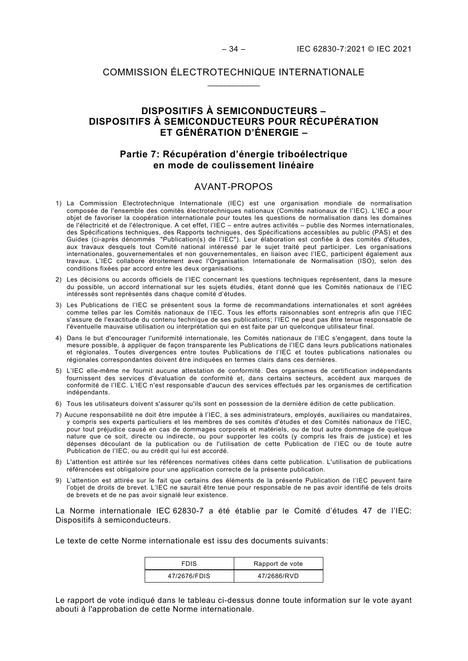#### COMMISSION ÉLECTROTECHNIQUE INTERNATIONALE \_\_\_\_\_\_\_\_\_\_\_\_

# **DISPOSITIFS À SEMICONDUCTEURS – DISPOSITIFS À SEMICONDUCTEURS POUR RÉCUPÉRATION ET GÉNÉRATION D'ÉNERGIE –**

### **Partie 7: Récupération d'énergie triboélectrique en mode de coulissement linéaire**

## AVANT-PROPOS

- <span id="page-8-0"></span>1) La Commission Electrotechnique Internationale (IEC) est une organisation mondiale de normalisation composée de l'ensemble des comités électrotechniques nationaux (Comités nationaux de l'IEC). L'IEC a pour objet de favoriser la coopération internationale pour toutes les questions de normalisation dans les domaines de l'électricité et de l'électronique. A cet effet, l'IEC – entre autres activités – publie des Normes internationales, des Spécifications techniques, des Rapports techniques, des Spécifications accessibles au public (PAS) et des Guides (ci-après dénommés ʺPublication(s) de l'IECʺ). Leur élaboration est confiée à des comités d'études, aux travaux desquels tout Comité national intéressé par le sujet traité peut participer. Les organisations internationales, gouvernementales et non gouvernementales, en liaison avec l'IEC, participent également aux travaux. L'IEC collabore étroitement avec l'Organisation Internationale de Normalisation (ISO), selon des conditions fixées par accord entre les deux organisations.
- 2) Les décisions ou accords officiels de l'IEC concernant les questions techniques représentent, dans la mesure du possible, un accord international sur les sujets étudiés, étant donné que les Comités nationaux de l'IEC intéressés sont représentés dans chaque comité d'études.
- 3) Les Publications de l'IEC se présentent sous la forme de recommandations internationales et sont agréées comme telles par les Comités nationaux de l'IEC. Tous les efforts raisonnables sont entrepris afin que l'IEC s'assure de l'exactitude du contenu technique de ses publications; l'IEC ne peut pas être tenue responsable de l'éventuelle mauvaise utilisation ou interprétation qui en est faite par un quelconque utilisateur final.
- 4) Dans le but d'encourager l'uniformité internationale, les Comités nationaux de l'IEC s'engagent, dans toute la mesure possible, à appliquer de façon transparente les Publications de l'IEC dans leurs publications nationales et régionales. Toutes divergences entre toutes Publications de l'IEC et toutes publications nationales ou régionales correspondantes doivent être indiquées en termes clairs dans ces dernières.
- 5) L'IEC elle-même ne fournit aucune attestation de conformité. Des organismes de certification indépendants fournissent des services d'évaluation de conformité et, dans certains secteurs, accèdent aux marques de conformité de l'IEC. L'IEC n'est responsable d'aucun des services effectués par les organismes de certification indépendants.
- 6) Tous les utilisateurs doivent s'assurer qu'ils sont en possession de la dernière édition de cette publication.
- 7) Aucune responsabilité ne doit être imputée à l'IEC, à ses administrateurs, employés, auxiliaires ou mandataires, y compris ses experts particuliers et les membres de ses comités d'études et des Comités nationaux de l'IEC, pour tout préjudice causé en cas de dommages corporels et matériels, ou de tout autre dommage de quelque nature que ce soit, directe ou indirecte, ou pour supporter les coûts (y compris les frais de justice) et les dépenses découlant de la publication ou de l'utilisation de cette Publication de l'IEC ou de toute autre Publication de l'IEC, ou au crédit qui lui est accordé.
- 8) L'attention est attirée sur les références normatives citées dans cette publication. L'utilisation de publications référencées est obligatoire pour une application correcte de la présente publication.
- 9) L'attention est attirée sur le fait que certains des éléments de la présente Publication de l'IEC peuvent faire l'objet de droits de brevet. L'IEC ne saurait être tenue pour responsable de ne pas avoir identifié de tels droits de brevets et de ne pas avoir signalé leur existence.

La Norme internationale IEC 62830-7 a été établie par le Comité d'études 47 de l'IEC: Dispositifs à semiconducteurs.

Le texte de cette Norme internationale est issu des documents suivants:

| <b>FDIS</b>  | Rapport de vote |
|--------------|-----------------|
| 47/2676/FDIS | 47/2686/RVD     |

Le rapport de vote indiqué dans le tableau ci-dessus donne toute information sur le vote ayant abouti à l'approbation de cette Norme internationale.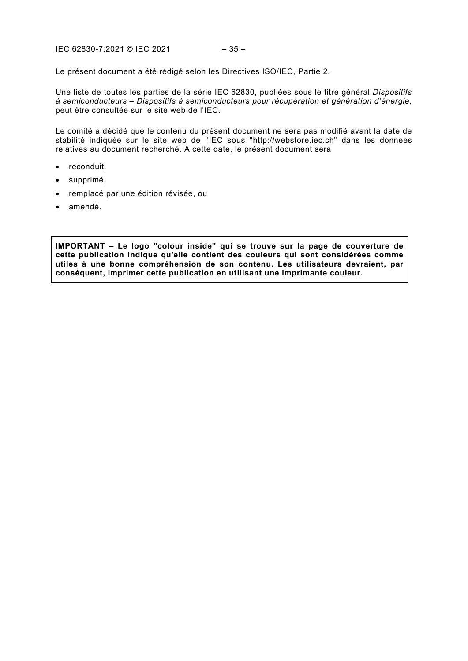IEC 62830-7:2021 © IEC 2021 – 35 –

Le présent document a été rédigé selon les Directives ISO/IEC, Partie 2.

Une liste de toutes les parties de la série IEC 62830, publiées sous le titre général *Dispositifs à semiconducteurs – Dispositifs à semiconducteurs pour récupération et génération d'énergie*, peut être consultée sur le site web de l'IEC.

Le comité a décidé que le contenu du présent document ne sera pas modifié avant la date de stabilité indiquée sur le site web de l'IEC sous "http://webstore.iec.ch" dans les données relatives au document recherché. A cette date, le présent document sera

- reconduit,
- supprimé,
- remplacé par une édition révisée, ou
- amendé.

**IMPORTANT – Le logo "colour inside" qui se trouve sur la page de couverture de cette publication indique qu'elle contient des couleurs qui sont considérées comme utiles à une bonne compréhension de son contenu. Les utilisateurs devraient, par conséquent, imprimer cette publication en utilisant une imprimante couleur.**